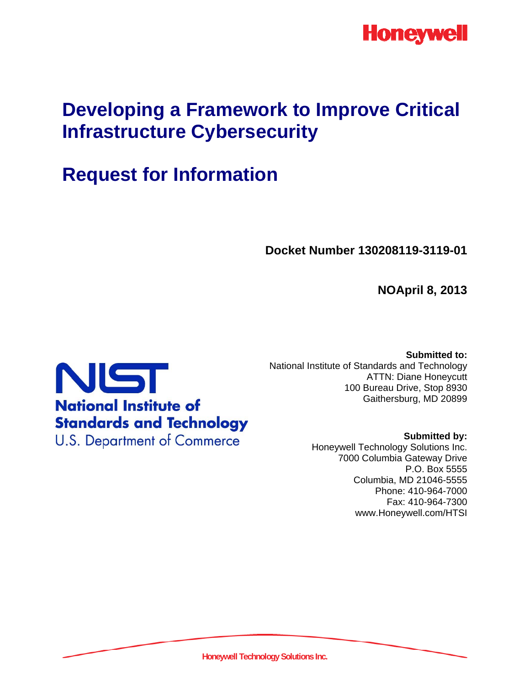

# **Developing a Framework to Improve Critical Infrastructure Cybersecurity**

# **Request for Information**

**Docket Number 130208119-3119-01** 

**NOApril 8, 2013** 



**Submitted to:**  National Institute of Standards and Technology ATTN: Diane Honeycutt 100 Bureau Drive, Stop 8930 Gaithersburg, MD 20899

> **Submitted by:**  Honeywell Technology Solutions Inc. 7000 Columbia Gateway Drive P.O. Box 5555 Columbia, MD 21046-5555 Phone: 410-964-7000 Fax: 410-964-7300 www.Honeywell.com/HTSI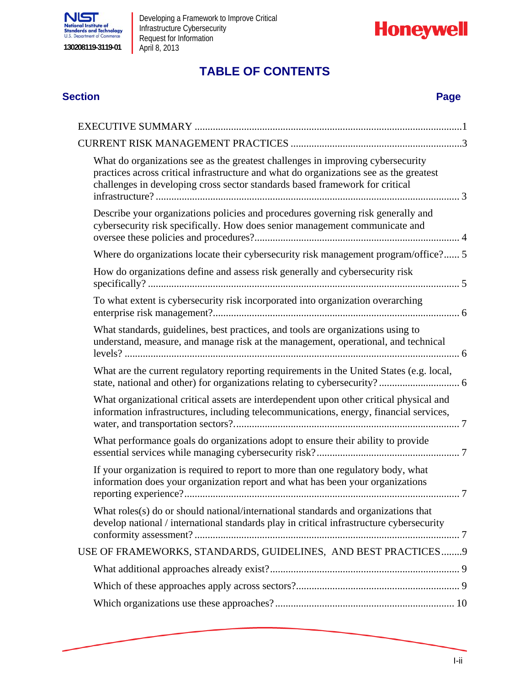



# **TABLE OF CONTENTS**

#### **Section Page**

| What do organizations see as the greatest challenges in improving cybersecurity<br>practices across critical infrastructure and what do organizations see as the greatest<br>challenges in developing cross sector standards based framework for critical |
|-----------------------------------------------------------------------------------------------------------------------------------------------------------------------------------------------------------------------------------------------------------|
| Describe your organizations policies and procedures governing risk generally and<br>cybersecurity risk specifically. How does senior management communicate and                                                                                           |
| Where do organizations locate their cybersecurity risk management program/office? 5                                                                                                                                                                       |
| How do organizations define and assess risk generally and cybersecurity risk                                                                                                                                                                              |
| To what extent is cybersecurity risk incorporated into organization overarching                                                                                                                                                                           |
| What standards, guidelines, best practices, and tools are organizations using to<br>understand, measure, and manage risk at the management, operational, and technical                                                                                    |
| What are the current regulatory reporting requirements in the United States (e.g. local,                                                                                                                                                                  |
| What organizational critical assets are interdependent upon other critical physical and<br>information infrastructures, including telecommunications, energy, financial services,                                                                         |
| What performance goals do organizations adopt to ensure their ability to provide                                                                                                                                                                          |
| If your organization is required to report to more than one regulatory body, what<br>information does your organization report and what has been your organizations                                                                                       |
| What roles(s) do or should national/international standards and organizations that<br>develop national / international standards play in critical infrastructure cybersecurity                                                                            |
| USE OF FRAMEWORKS, STANDARDS, GUIDELINES, AND BEST PRACTICES 9                                                                                                                                                                                            |
|                                                                                                                                                                                                                                                           |
|                                                                                                                                                                                                                                                           |
|                                                                                                                                                                                                                                                           |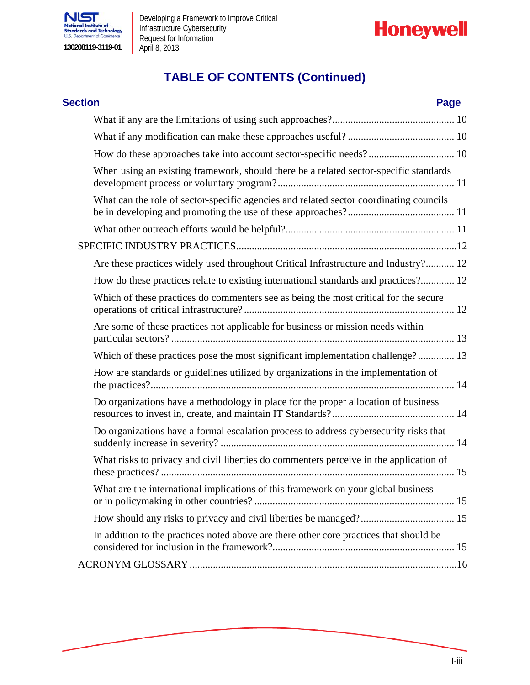



# **TABLE OF CONTENTS (Continued)**

| <b>Section</b>                                                                         | Page |
|----------------------------------------------------------------------------------------|------|
|                                                                                        |      |
|                                                                                        |      |
|                                                                                        |      |
| When using an existing framework, should there be a related sector-specific standards  |      |
| What can the role of sector-specific agencies and related sector coordinating councils |      |
|                                                                                        |      |
|                                                                                        |      |
| Are these practices widely used throughout Critical Infrastructure and Industry? 12    |      |
| How do these practices relate to existing international standards and practices? 12    |      |
| Which of these practices do commenters see as being the most critical for the secure   |      |
| Are some of these practices not applicable for business or mission needs within        |      |
| Which of these practices pose the most significant implementation challenge? 13        |      |
| How are standards or guidelines utilized by organizations in the implementation of     |      |
| Do organizations have a methodology in place for the proper allocation of business     |      |
| Do organizations have a formal escalation process to address cybersecurity risks that  |      |
| What risks to privacy and civil liberties do commenters perceive in the application of |      |
| What are the international implications of this framework on your global business      |      |
|                                                                                        |      |
| In addition to the practices noted above are there other core practices that should be |      |
|                                                                                        |      |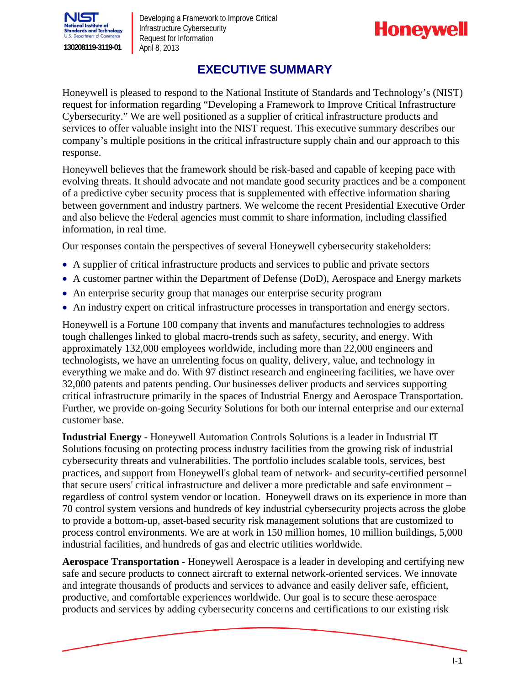



### **EXECUTIVE SUMMARY**

Honeywell is pleased to respond to the National Institute of Standards and Technology's (NIST) request for information regarding "Developing a Framework to Improve Critical Infrastructure Cybersecurity." We are well positioned as a supplier of critical infrastructure products and services to offer valuable insight into the NIST request. This executive summary describes our company's multiple positions in the critical infrastructure supply chain and our approach to this response.

Honeywell believes that the framework should be risk-based and capable of keeping pace with evolving threats. It should advocate and not mandate good security practices and be a component of a predictive cyber security process that is supplemented with effective information sharing between government and industry partners. We welcome the recent Presidential Executive Order and also believe the Federal agencies must commit to share information, including classified information, in real time.

Our responses contain the perspectives of several Honeywell cybersecurity stakeholders:

- A supplier of critical infrastructure products and services to public and private sectors
- A customer partner within the Department of Defense (DoD), Aerospace and Energy markets
- An enterprise security group that manages our enterprise security program
- An industry expert on critical infrastructure processes in transportation and energy sectors.

Honeywell is a Fortune 100 company that invents and manufactures technologies to address tough challenges linked to global macro-trends such as safety, security, and energy. With approximately 132,000 employees worldwide, including more than 22,000 engineers and technologists, we have an unrelenting focus on quality, delivery, value, and technology in everything we make and do. With 97 distinct research and engineering facilities, we have over 32,000 patents and patents pending. Our businesses deliver products and services supporting critical infrastructure primarily in the spaces of Industrial Energy and Aerospace Transportation. Further, we provide on-going Security Solutions for both our internal enterprise and our external customer base.

**Industrial Energy** - Honeywell Automation Controls Solutions is a leader in Industrial IT Solutions focusing on protecting process industry facilities from the growing risk of industrial cybersecurity threats and vulnerabilities. The portfolio includes scalable tools, services, best practices, and support from Honeywell's global team of network- and security-certified personnel that secure users' critical infrastructure and deliver a more predictable and safe environment – regardless of control system vendor or location. Honeywell draws on its experience in more than 70 control system versions and hundreds of key industrial cybersecurity projects across the globe to provide a bottom-up, asset-based security risk management solutions that are customized to process control environments. We are at work in 150 million homes, 10 million buildings, 5,000 industrial facilities, and hundreds of gas and electric utilities worldwide.

**Aerospace Transportation** - Honeywell Aerospace is a leader in developing and certifying new safe and secure products to connect aircraft to external network-oriented services. We innovate and integrate thousands of products and services to advance and easily deliver safe, efficient, productive, and comfortable experiences worldwide. Our goal is to secure these aerospace products and services by adding cybersecurity concerns and certifications to our existing risk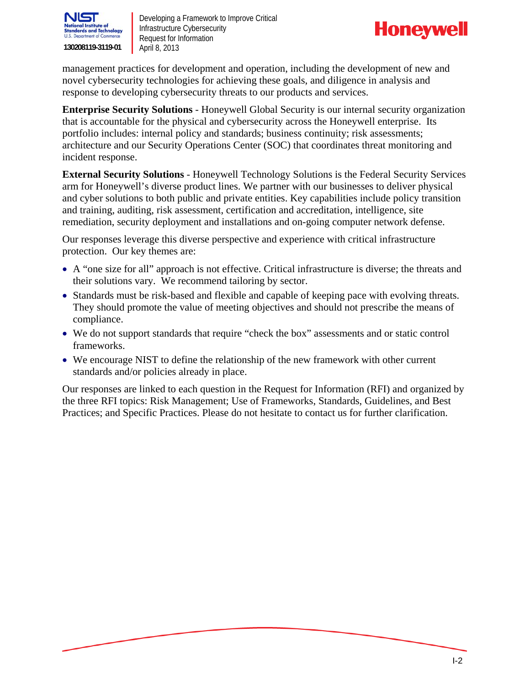



management practices for development and operation, including the development of new and novel cybersecurity technologies for achieving these goals, and diligence in analysis and response to developing cybersecurity threats to our products and services.

**Enterprise Security Solutions** - Honeywell Global Security is our internal security organization that is accountable for the physical and cybersecurity across the Honeywell enterprise. Its portfolio includes: internal policy and standards; business continuity; risk assessments; architecture and our Security Operations Center (SOC) that coordinates threat monitoring and incident response.

**External Security Solutions** - Honeywell Technology Solutions is the Federal Security Services arm for Honeywell's diverse product lines. We partner with our businesses to deliver physical and cyber solutions to both public and private entities. Key capabilities include policy transition and training, auditing, risk assessment, certification and accreditation, intelligence, site remediation, security deployment and installations and on-going computer network defense.

Our responses leverage this diverse perspective and experience with critical infrastructure protection. Our key themes are:

- A "one size for all" approach is not effective. Critical infrastructure is diverse; the threats and their solutions vary. We recommend tailoring by sector.
- Standards must be risk-based and flexible and capable of keeping pace with evolving threats. They should promote the value of meeting objectives and should not prescribe the means of compliance.
- We do not support standards that require "check the box" assessments and or static control frameworks.
- We encourage NIST to define the relationship of the new framework with other current standards and/or policies already in place.

Our responses are linked to each question in the Request for Information (RFI) and organized by the three RFI topics: Risk Management; Use of Frameworks, Standards, Guidelines, and Best Practices; and Specific Practices. Please do not hesitate to contact us for further clarification.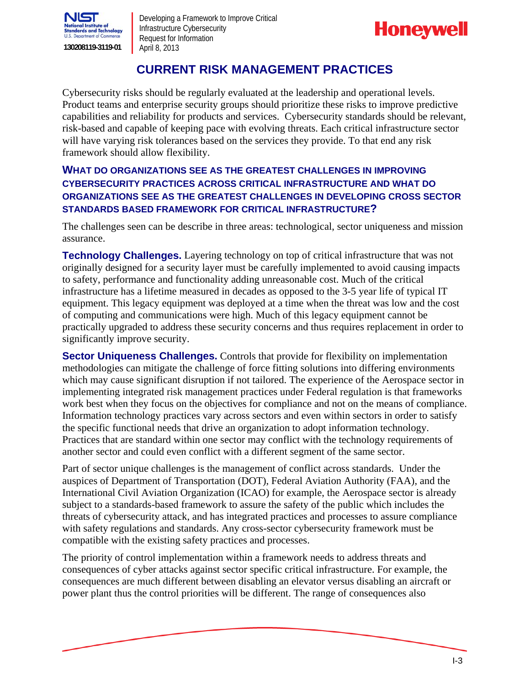



### **CURRENT RISK MANAGEMENT PRACTICES**

Cybersecurity risks should be regularly evaluated at the leadership and operational levels. Product teams and enterprise security groups should prioritize these risks to improve predictive capabilities and reliability for products and services. Cybersecurity standards should be relevant, risk-based and capable of keeping pace with evolving threats. Each critical infrastructure sector will have varying risk tolerances based on the services they provide. To that end any risk framework should allow flexibility.

#### **WHAT DO ORGANIZATIONS SEE AS THE GREATEST CHALLENGES IN IMPROVING CYBERSECURITY PRACTICES ACROSS CRITICAL INFRASTRUCTURE AND WHAT DO ORGANIZATIONS SEE AS THE GREATEST CHALLENGES IN DEVELOPING CROSS SECTOR STANDARDS BASED FRAMEWORK FOR CRITICAL INFRASTRUCTURE?**

The challenges seen can be describe in three areas: technological, sector uniqueness and mission assurance.

**Technology Challenges.** Layering technology on top of critical infrastructure that was not originally designed for a security layer must be carefully implemented to avoid causing impacts to safety, performance and functionality adding unreasonable cost. Much of the critical infrastructure has a lifetime measured in decades as opposed to the 3-5 year life of typical IT equipment. This legacy equipment was deployed at a time when the threat was low and the cost of computing and communications were high. Much of this legacy equipment cannot be practically upgraded to address these security concerns and thus requires replacement in order to significantly improve security.

**Sector Uniqueness Challenges.** Controls that provide for flexibility on implementation methodologies can mitigate the challenge of force fitting solutions into differing environments which may cause significant disruption if not tailored. The experience of the Aerospace sector in implementing integrated risk management practices under Federal regulation is that frameworks work best when they focus on the objectives for compliance and not on the means of compliance. Information technology practices vary across sectors and even within sectors in order to satisfy the specific functional needs that drive an organization to adopt information technology. Practices that are standard within one sector may conflict with the technology requirements of another sector and could even conflict with a different segment of the same sector.

Part of sector unique challenges is the management of conflict across standards. Under the auspices of Department of Transportation (DOT), Federal Aviation Authority (FAA), and the International Civil Aviation Organization (ICAO) for example, the Aerospace sector is already subject to a standards-based framework to assure the safety of the public which includes the threats of cybersecurity attack, and has integrated practices and processes to assure compliance with safety regulations and standards. Any cross-sector cybersecurity framework must be compatible with the existing safety practices and processes.

The priority of control implementation within a framework needs to address threats and consequences of cyber attacks against sector specific critical infrastructure. For example, the consequences are much different between disabling an elevator versus disabling an aircraft or power plant thus the control priorities will be different. The range of consequences also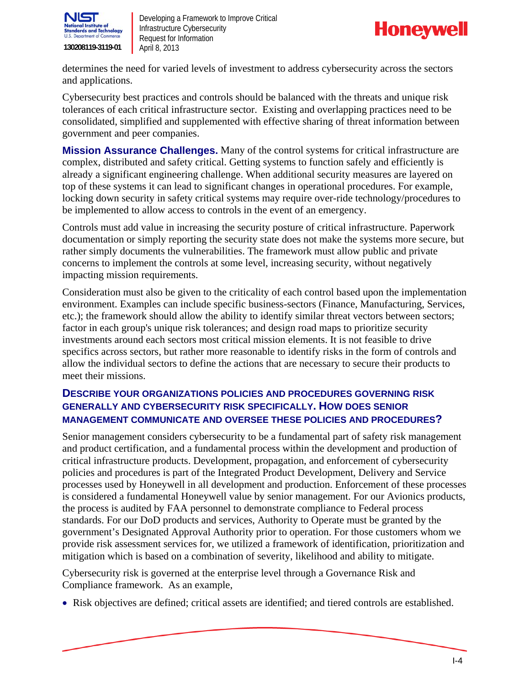



determines the need for varied levels of investment to address cybersecurity across the sectors and applications.

Cybersecurity best practices and controls should be balanced with the threats and unique risk tolerances of each critical infrastructure sector. Existing and overlapping practices need to be consolidated, simplified and supplemented with effective sharing of threat information between government and peer companies.

**Mission Assurance Challenges.** Many of the control systems for critical infrastructure are complex, distributed and safety critical. Getting systems to function safely and efficiently is already a significant engineering challenge. When additional security measures are layered on top of these systems it can lead to significant changes in operational procedures. For example, locking down security in safety critical systems may require over-ride technology/procedures to be implemented to allow access to controls in the event of an emergency.

Controls must add value in increasing the security posture of critical infrastructure. Paperwork documentation or simply reporting the security state does not make the systems more secure, but rather simply documents the vulnerabilities. The framework must allow public and private concerns to implement the controls at some level, increasing security, without negatively impacting mission requirements.

Consideration must also be given to the criticality of each control based upon the implementation environment. Examples can include specific business-sectors (Finance, Manufacturing, Services, etc.); the framework should allow the ability to identify similar threat vectors between sectors; factor in each group's unique risk tolerances; and design road maps to prioritize security investments around each sectors most critical mission elements. It is not feasible to drive specifics across sectors, but rather more reasonable to identify risks in the form of controls and allow the individual sectors to define the actions that are necessary to secure their products to meet their missions.

#### **DESCRIBE YOUR ORGANIZATIONS POLICIES AND PROCEDURES GOVERNING RISK GENERALLY AND CYBERSECURITY RISK SPECIFICALLY. HOW DOES SENIOR MANAGEMENT COMMUNICATE AND OVERSEE THESE POLICIES AND PROCEDURES?**

Senior management considers cybersecurity to be a fundamental part of safety risk management and product certification, and a fundamental process within the development and production of critical infrastructure products. Development, propagation, and enforcement of cybersecurity policies and procedures is part of the Integrated Product Development, Delivery and Service processes used by Honeywell in all development and production. Enforcement of these processes is considered a fundamental Honeywell value by senior management. For our Avionics products, the process is audited by FAA personnel to demonstrate compliance to Federal process standards. For our DoD products and services, Authority to Operate must be granted by the government's Designated Approval Authority prior to operation. For those customers whom we provide risk assessment services for, we utilized a framework of identification, prioritization and mitigation which is based on a combination of severity, likelihood and ability to mitigate.

Cybersecurity risk is governed at the enterprise level through a Governance Risk and Compliance framework. As an example,

Risk objectives are defined; critical assets are identified; and tiered controls are established.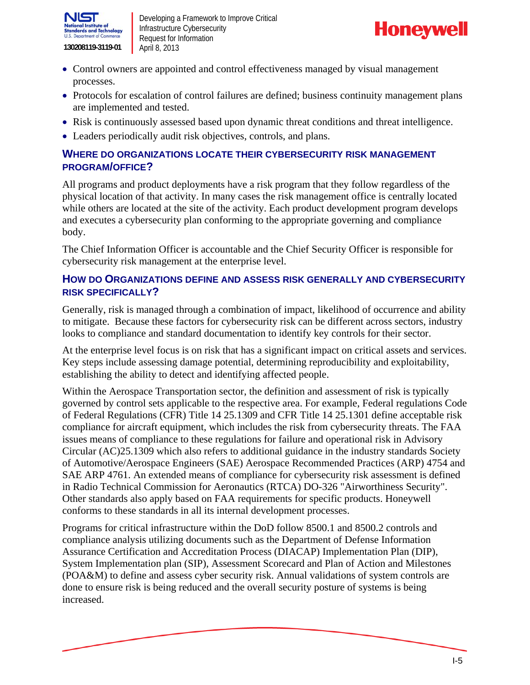



- Control owners are appointed and control effectiveness managed by visual management processes.
- Protocols for escalation of control failures are defined; business continuity management plans are implemented and tested.
- Risk is continuously assessed based upon dynamic threat conditions and threat intelligence.
- Leaders periodically audit risk objectives, controls, and plans.

#### **WHERE DO ORGANIZATIONS LOCATE THEIR CYBERSECURITY RISK MANAGEMENT PROGRAM/OFFICE?**

All programs and product deployments have a risk program that they follow regardless of the physical location of that activity. In many cases the risk management office is centrally located while others are located at the site of the activity. Each product development program develops and executes a cybersecurity plan conforming to the appropriate governing and compliance body.

cybersecurity risk management at the enterprise level. The Chief Information Officer is accountable and the Chief Security Officer is responsible for

#### **HOW DO ORGANIZATIONS DEFINE AND ASSESS RISK GENERALLY AND CYBERSECURITY RISK SPECIFICALLY?**

Generally, risk is managed through a combination of impact, likelihood of occurrence and ability to mitigate. Because these factors for cybersecurity risk can be different across sectors, industry looks to compliance and standard documentation to identify key controls for their sector.

At the enterprise level focus is on risk that has a significant impact on critical assets and services. Key steps include assessing damage potential, determining reproducibility and exploitability, establishing the ability to detect and identifying affected people.

Within the Aerospace Transportation sector, the definition and assessment of risk is typically governed by control sets applicable to the respective area. For example, Federal regulations Code of Federal Regulations (CFR) Title 14 25.1309 and CFR Title 14 25.1301 define acceptable risk compliance for aircraft equipment, which includes the risk from cybersecurity threats. The FAA issues means of compliance to these regulations for failure and operational risk in Advisory Circular (AC)25.1309 which also refers to additional guidance in the industry standards Society of Automotive/Aerospace Engineers (SAE) Aerospace Recommended Practices (ARP) 4754 and SAE ARP 4761. An extended means of compliance for cybersecurity risk assessment is defined in Radio Technical Commission for Aeronautics (RTCA) DO-326 "Airworthiness Security". Other standards also apply based on FAA requirements for specific products. Honeywell conforms to these standards in all its internal development processes.

Programs for critical infrastructure within the DoD follow 8500.1 and 8500.2 controls and compliance analysis utilizing documents such as the Department of Defense Information Assurance Certification and Accreditation Process (DIACAP) Implementation Plan (DIP), System Implementation plan (SIP), Assessment Scorecard and Plan of Action and Milestones (POA&M) to define and assess cyber security risk. Annual validations of system controls are done to ensure risk is being reduced and the overall security posture of systems is being increased.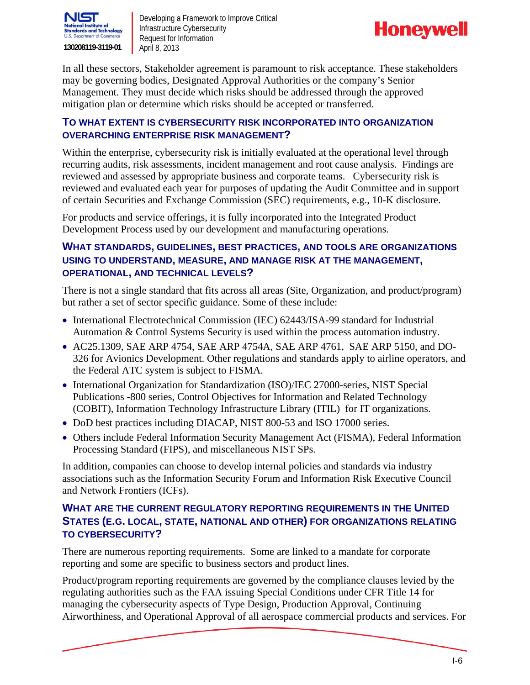

![](_page_8_Picture_2.jpeg)

In all these sectors, Stakeholder agreement is paramount to risk acceptance. These stakeholders may be governing bodies, Designated Approval Authorities or the company's Senior Management. They must decide which risks should be addressed through the approved mitigation plan or determine which risks should be accepted or transferred.

#### **TO WHAT EXTENT IS CYBERSECURITY RISK INCORPORATED INTO ORGANIZATION OVERARCHING ENTERPRISE RISK MANAGEMENT?**

Within the enterprise, cybersecurity risk is initially evaluated at the operational level through recurring audits, risk assessments, incident management and root cause analysis. Findings are reviewed and assessed by appropriate business and corporate teams. Cybersecurity risk is reviewed and evaluated each year for purposes of updating the Audit Committee and in support of certain Securities and Exchange Commission (SEC) requirements, e.g., 10-K disclosure.

For products and service offerings, it is fully incorporated into the Integrated Product Development Process used by our development and manufacturing operations.

#### **WHAT STANDARDS, GUIDELINES, BEST PRACTICES, AND TOOLS ARE ORGANIZATIONS USING TO UNDERSTAND, MEASURE, AND MANAGE RISK AT THE MANAGEMENT, OPERATIONAL, AND TECHNICAL LEVELS?**

There is not a single standard that fits across all areas (Site, Organization, and product/program) but rather a set of sector specific guidance. Some of these include:

- International Electrotechnical Commission (IEC) 62443/ISA-99 standard for Industrial Automation & Control Systems Security is used within the process automation industry.
- AC25.1309, SAE ARP 4754, SAE ARP 4754A, SAE ARP 4761, SAE ARP 5150, and DO-326 for Avionics Development. Other regulations and standards apply to airline operators, and the Federal ATC system is subject to FISMA.
- International Organization for Standardization (ISO)/IEC 27000-series, NIST Special Publications -800 series, Control Objectives for Information and Related Technology (COBIT), Information Technology Infrastructure Library (ITIL) for IT organizations.
- DoD best practices including DIACAP, NIST 800-53 and ISO 17000 series.
- Others include Federal Information Security Management Act (FISMA), Federal Information Processing Standard (FIPS), and miscellaneous NIST SPs.

In addition, companies can choose to develop internal policies and standards via industry associations such as the Information Security Forum and Information Risk Executive Council and Network Frontiers (ICFs).

#### **WHAT ARE THE CURRENT REGULATORY REPORTING REQUIREMENTS IN THE UNITED STATES (E.G. LOCAL, STATE, NATIONAL AND OTHER) FOR ORGANIZATIONS RELATING TO CYBERSECURITY?**

There are numerous reporting requirements. Some are linked to a mandate for corporate reporting and some are specific to business sectors and product lines.

Product/program reporting requirements are governed by the compliance clauses levied by the regulating authorities such as the FAA issuing Special Conditions under CFR Title 14 for managing the cybersecurity aspects of Type Design, Production Approval, Continuing Airworthiness, and Operational Approval of all aerospace commercial products and services. For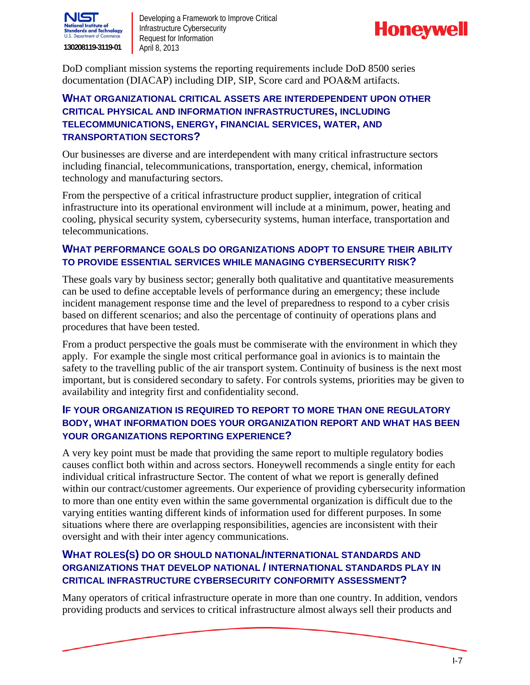![](_page_9_Picture_0.jpeg)

![](_page_9_Picture_2.jpeg)

DoD compliant mission systems the reporting requirements include DoD 8500 series documentation (DIACAP) including DIP, SIP, Score card and POA&M artifacts.

#### **WHAT ORGANIZATIONAL CRITICAL ASSETS ARE INTERDEPENDENT UPON OTHER CRITICAL PHYSICAL AND INFORMATION INFRASTRUCTURES, INCLUDING TELECOMMUNICATIONS, ENERGY, FINANCIAL SERVICES, WATER, AND TRANSPORTATION SECTORS?**

Our businesses are diverse and are interdependent with many critical infrastructure sectors including financial, telecommunications, transportation, energy, chemical, information technology and manufacturing sectors.

From the perspective of a critical infrastructure product supplier, integration of critical infrastructure into its operational environment will include at a minimum, power, heating and cooling, physical security system, cybersecurity systems, human interface, transportation and telecommunications.

#### **WHAT PERFORMANCE GOALS DO ORGANIZATIONS ADOPT TO ENSURE THEIR ABILITY TO PROVIDE ESSENTIAL SERVICES WHILE MANAGING CYBERSECURITY RISK?**

These goals vary by business sector; generally both qualitative and quantitative measurements can be used to define acceptable levels of performance during an emergency; these include incident management response time and the level of preparedness to respond to a cyber crisis based on different scenarios; and also the percentage of continuity of operations plans and procedures that have been tested.

From a product perspective the goals must be commiserate with the environment in which they apply. For example the single most critical performance goal in avionics is to maintain the safety to the travelling public of the air transport system. Continuity of business is the next most important, but is considered secondary to safety. For controls systems, priorities may be given to availability and integrity first and confidentiality second.

#### **IF YOUR ORGANIZATION IS REQUIRED TO REPORT TO MORE THAN ONE REGULATORY BODY, WHAT INFORMATION DOES YOUR ORGANIZATION REPORT AND WHAT HAS BEEN YOUR ORGANIZATIONS REPORTING EXPERIENCE?**

A very key point must be made that providing the same report to multiple regulatory bodies causes conflict both within and across sectors. Honeywell recommends a single entity for each individual critical infrastructure Sector. The content of what we report is generally defined within our contract/customer agreements. Our experience of providing cybersecurity information to more than one entity even within the same governmental organization is difficult due to the varying entities wanting different kinds of information used for different purposes. In some situations where there are overlapping responsibilities, agencies are inconsistent with their oversight and with their inter agency communications.

#### **WHAT ROLES(S) DO OR SHOULD NATIONAL/INTERNATIONAL STANDARDS AND ORGANIZATIONS THAT DEVELOP NATIONAL / INTERNATIONAL STANDARDS PLAY IN CRITICAL INFRASTRUCTURE CYBERSECURITY CONFORMITY ASSESSMENT?**

Many operators of critical infrastructure operate in more than one country. In addition, vendors providing products and services to critical infrastructure almost always sell their products and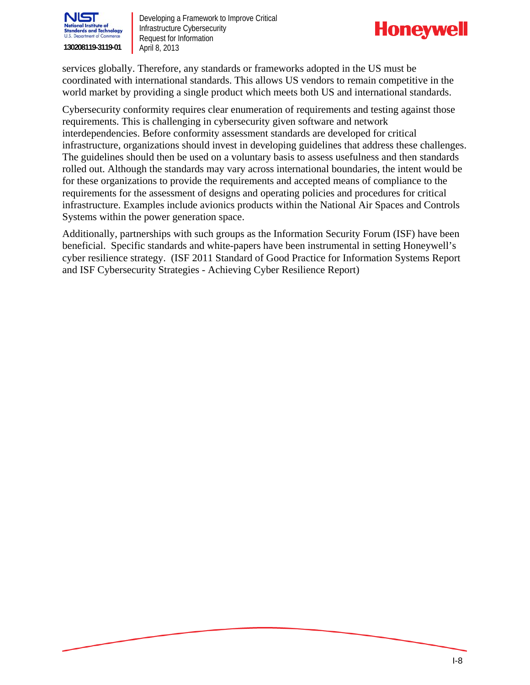![](_page_10_Picture_0.jpeg)

![](_page_10_Picture_2.jpeg)

services globally. Therefore, any standards or frameworks adopted in the US must be coordinated with international standards. This allows US vendors to remain competitive in the world market by providing a single product which meets both US and international standards.

Cybersecurity conformity requires clear enumeration of requirements and testing against those requirements. This is challenging in cybersecurity given software and network interdependencies. Before conformity assessment standards are developed for critical infrastructure, organizations should invest in developing guidelines that address these challenges. The guidelines should then be used on a voluntary basis to assess usefulness and then standards rolled out. Although the standards may vary across international boundaries, the intent would be for these organizations to provide the requirements and accepted means of compliance to the requirements for the assessment of designs and operating policies and procedures for critical infrastructure. Examples include avionics products within the National Air Spaces and Controls Systems within the power generation space.

Additionally, partnerships with such groups as the Information Security Forum (ISF) have been beneficial. Specific standards and white-papers have been instrumental in setting Honeywell's cyber resilience strategy. (ISF 2011 Standard of Good Practice for Information Systems Report and ISF Cybersecurity Strategies - Achieving Cyber Resilience Report)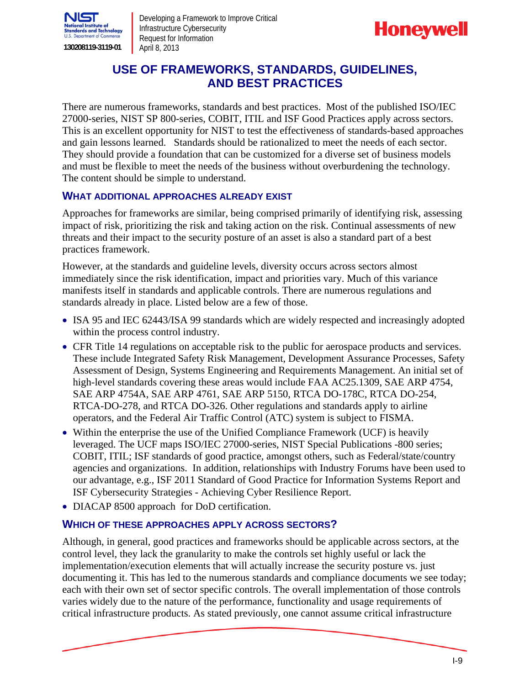![](_page_11_Picture_0.jpeg)

![](_page_11_Picture_2.jpeg)

## **USE OF FRAMEWORKS, STANDARDS, GUIDELINES, AND BEST PRACTICES**

There are numerous frameworks, standards and best practices. Most of the published ISO/IEC 27000-series, NIST SP 800-series, COBIT, ITIL and ISF Good Practices apply across sectors. This is an excellent opportunity for NIST to test the effectiveness of standards-based approaches and gain lessons learned. Standards should be rationalized to meet the needs of each sector. They should provide a foundation that can be customized for a diverse set of business models and must be flexible to meet the needs of the business without overburdening the technology. The content should be simple to understand.

#### **WHAT ADDITIONAL APPROACHES ALREADY EXIST**

Approaches for frameworks are similar, being comprised primarily of identifying risk, assessing impact of risk, prioritizing the risk and taking action on the risk. Continual assessments of new threats and their impact to the security posture of an asset is also a standard part of a best practices framework.

However, at the standards and guideline levels, diversity occurs across sectors almost immediately since the risk identification, impact and priorities vary. Much of this variance manifests itself in standards and applicable controls. There are numerous regulations and standards already in place. Listed below are a few of those.

- ISA 95 and IEC 62443/ISA 99 standards which are widely respected and increasingly adopted within the process control industry.
- CFR Title 14 regulations on acceptable risk to the public for aerospace products and services. These include Integrated Safety Risk Management, Development Assurance Processes, Safety Assessment of Design, Systems Engineering and Requirements Management. An initial set of high-level standards covering these areas would include FAA AC25.1309, SAE ARP 4754, SAE ARP 4754A, SAE ARP 4761, SAE ARP 5150, RTCA DO-178C, RTCA DO-254, RTCA-DO-278, and RTCA DO-326. Other regulations and standards apply to airline operators, and the Federal Air Traffic Control (ATC) system is subject to FISMA.
- Within the enterprise the use of the Unified Compliance Framework (UCF) is heavily leveraged. The UCF maps ISO/IEC 27000-series, NIST Special Publications -800 series; COBIT, ITIL; ISF standards of good practice, amongst others, such as Federal/state/country agencies and organizations. In addition, relationships with Industry Forums have been used to our advantage, e.g., ISF 2011 Standard of Good Practice for Information Systems Report and ISF Cybersecurity Strategies - Achieving Cyber Resilience Report.
- DIACAP 8500 approach for DoD certification.

#### **WHICH OF THESE APPROACHES APPLY ACROSS SECTORS?**

Although, in general, good practices and frameworks should be applicable across sectors, at the control level, they lack the granularity to make the controls set highly useful or lack the implementation/execution elements that will actually increase the security posture vs. just documenting it. This has led to the numerous standards and compliance documents we see today; each with their own set of sector specific controls. The overall implementation of those controls varies widely due to the nature of the performance, functionality and usage requirements of critical infrastructure products. As stated previously, one cannot assume critical infrastructure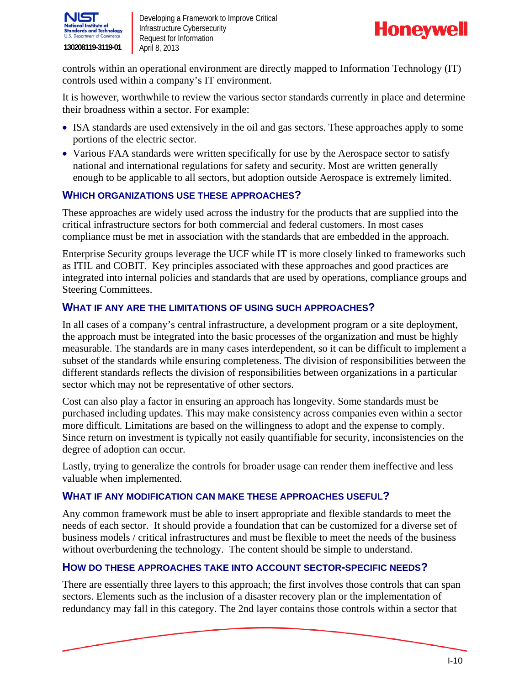![](_page_12_Picture_0.jpeg)

![](_page_12_Picture_2.jpeg)

controls within an operational environment are directly mapped to Information Technology (IT) controls used within a company's IT environment.

It is however, worthwhile to review the various sector standards currently in place and determine their broadness within a sector. For example:

- ISA standards are used extensively in the oil and gas sectors. These approaches apply to some portions of the electric sector.
- Various FAA standards were written specifically for use by the Aerospace sector to satisfy national and international regulations for safety and security. Most are written generally enough to be applicable to all sectors, but adoption outside Aerospace is extremely limited.

#### **WHICH ORGANIZATIONS USE THESE APPROACHES?**

These approaches are widely used across the industry for the products that are supplied into the critical infrastructure sectors for both commercial and federal customers. In most cases compliance must be met in association with the standards that are embedded in the approach.

Enterprise Security groups leverage the UCF while IT is more closely linked to frameworks such as ITIL and COBIT. Key principles associated with these approaches and good practices are integrated into internal policies and standards that are used by operations, compliance groups and Steering Committees.

#### **WHAT IF ANY ARE THE LIMITATIONS OF USING SUCH APPROACHES?**

In all cases of a company's central infrastructure, a development program or a site deployment, the approach must be integrated into the basic processes of the organization and must be highly measurable. The standards are in many cases interdependent, so it can be difficult to implement a subset of the standards while ensuring completeness. The division of responsibilities between the different standards reflects the division of responsibilities between organizations in a particular sector which may not be representative of other sectors.

Cost can also play a factor in ensuring an approach has longevity. Some standards must be purchased including updates. This may make consistency across companies even within a sector more difficult. Limitations are based on the willingness to adopt and the expense to comply. Since return on investment is typically not easily quantifiable for security, inconsistencies on the degree of adoption can occur.

Lastly, trying to generalize the controls for broader usage can render them ineffective and less valuable when implemented.

#### **WHAT IF ANY MODIFICATION CAN MAKE THESE APPROACHES USEFUL?**

Any common framework must be able to insert appropriate and flexible standards to meet the needs of each sector. It should provide a foundation that can be customized for a diverse set of business models / critical infrastructures and must be flexible to meet the needs of the business without overburdening the technology. The content should be simple to understand.

#### **HOW DO THESE APPROACHES TAKE INTO ACCOUNT SECTOR-SPECIFIC NEEDS?**

There are essentially three layers to this approach; the first involves those controls that can span sectors. Elements such as the inclusion of a disaster recovery plan or the implementation of redundancy may fall in this category. The 2nd layer contains those controls within a sector that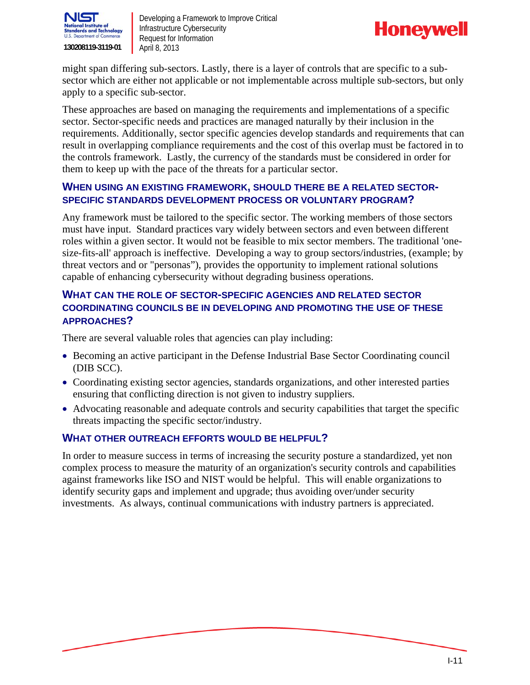![](_page_13_Picture_0.jpeg)

![](_page_13_Picture_2.jpeg)

might span differing sub-sectors. Lastly, there is a layer of controls that are specific to a subsector which are either not applicable or not implementable across multiple sub-sectors, but only apply to a specific sub-sector.

These approaches are based on managing the requirements and implementations of a specific sector. Sector-specific needs and practices are managed naturally by their inclusion in the requirements. Additionally, sector specific agencies develop standards and requirements that can result in overlapping compliance requirements and the cost of this overlap must be factored in to the controls framework. Lastly, the currency of the standards must be considered in order for them to keep up with the pace of the threats for a particular sector.

#### **WHEN USING AN EXISTING FRAMEWORK, SHOULD THERE BE A RELATED SECTOR-SPECIFIC STANDARDS DEVELOPMENT PROCESS OR VOLUNTARY PROGRAM?**

Any framework must be tailored to the specific sector. The working members of those sectors must have input. Standard practices vary widely between sectors and even between different roles within a given sector. It would not be feasible to mix sector members. The traditional 'onesize-fits-all' approach is ineffective. Developing a way to group sectors/industries, (example; by threat vectors and or "personas"), provides the opportunity to implement rational solutions capable of enhancing cybersecurity without degrading business operations.

#### **WHAT CAN THE ROLE OF SECTOR-SPECIFIC AGENCIES AND RELATED SECTOR COORDINATING COUNCILS BE IN DEVELOPING AND PROMOTING THE USE OF THESE APPROACHES?**

There are several valuable roles that agencies can play including:

- Becoming an active participant in the Defense Industrial Base Sector Coordinating council (DIB SCC).
- Coordinating existing sector agencies, standards organizations, and other interested parties ensuring that conflicting direction is not given to industry suppliers.
- Advocating reasonable and adequate controls and security capabilities that target the specific threats impacting the specific sector/industry.

#### **WHAT OTHER OUTREACH EFFORTS WOULD BE HELPFUL?**

In order to measure success in terms of increasing the security posture a standardized, yet non complex process to measure the maturity of an organization's security controls and capabilities against frameworks like ISO and NIST would be helpful. This will enable organizations to identify security gaps and implement and upgrade; thus avoiding over/under security investments. As always, continual communications with industry partners is appreciated.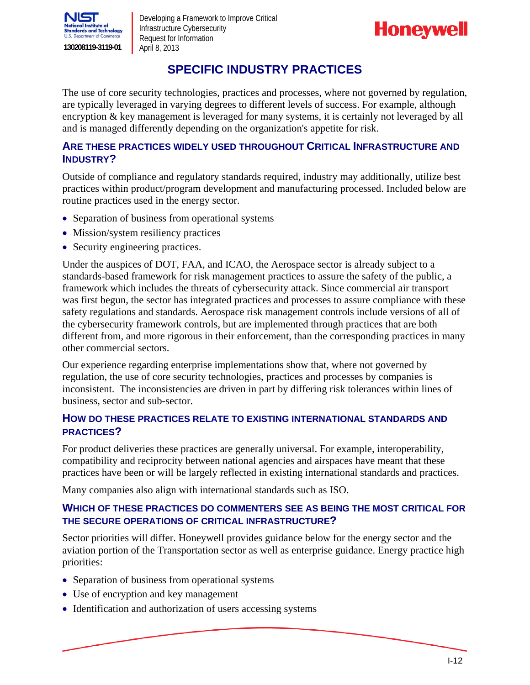![](_page_14_Picture_0.jpeg)

![](_page_14_Picture_2.jpeg)

## **SPECIFIC INDUSTRY PRACTICES**

The use of core security technologies, practices and processes, where not governed by regulation, are typically leveraged in varying degrees to different levels of success. For example, although encryption & key management is leveraged for many systems, it is certainly not leveraged by all and is managed differently depending on the organization's appetite for risk.

#### **ARE THESE PRACTICES WIDELY USED THROUGHOUT CRITICAL INFRASTRUCTURE AND INDUSTRY?**

Outside of compliance and regulatory standards required, industry may additionally, utilize best practices within product/program development and manufacturing processed. Included below are routine practices used in the energy sector.

- Separation of business from operational systems
- Mission/system resiliency practices
- Security engineering practices.

Under the auspices of DOT, FAA, and ICAO, the Aerospace sector is already subject to a standards-based framework for risk management practices to assure the safety of the public, a framework which includes the threats of cybersecurity attack. Since commercial air transport was first begun, the sector has integrated practices and processes to assure compliance with these safety regulations and standards. Aerospace risk management controls include versions of all of the cybersecurity framework controls, but are implemented through practices that are both different from, and more rigorous in their enforcement, than the corresponding practices in many other commercial sectors.

Our experience regarding enterprise implementations show that, where not governed by regulation, the use of core security technologies, practices and processes by companies is inconsistent. The inconsistencies are driven in part by differing risk tolerances within lines of business, sector and sub-sector.

#### **HOW DO THESE PRACTICES RELATE TO EXISTING INTERNATIONAL STANDARDS AND PRACTICES?**

For product deliveries these practices are generally universal. For example, interoperability, compatibility and reciprocity between national agencies and airspaces have meant that these practices have been or will be largely reflected in existing international standards and practices.

Many companies also align with international standards such as ISO.

#### **WHICH OF THESE PRACTICES DO COMMENTERS SEE AS BEING THE MOST CRITICAL FOR THE SECURE OPERATIONS OF CRITICAL INFRASTRUCTURE?**

Sector priorities will differ. Honeywell provides guidance below for the energy sector and the aviation portion of the Transportation sector as well as enterprise guidance. Energy practice high priorities:

- Separation of business from operational systems
- Use of encryption and key management
- Identification and authorization of users accessing systems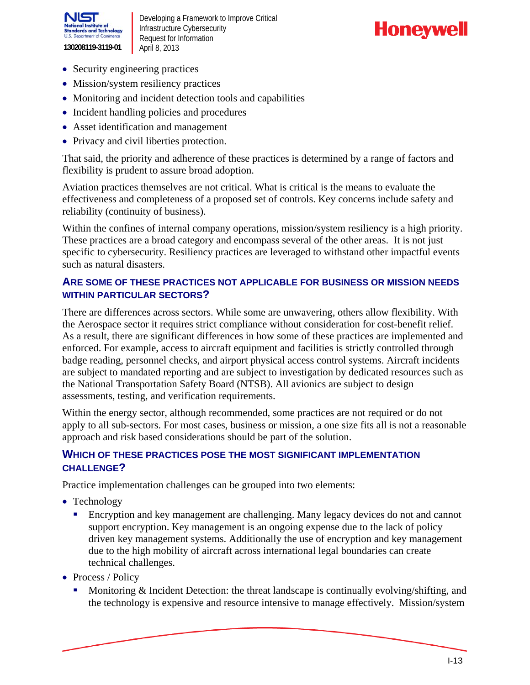![](_page_15_Picture_0.jpeg)

![](_page_15_Picture_2.jpeg)

- Security engineering practices
- Mission/system resiliency practices
- Monitoring and incident detection tools and capabilities
- Incident handling policies and procedures
- Asset identification and management
- Privacy and civil liberties protection.

That said, the priority and adherence of these practices is determined by a range of factors and flexibility is prudent to assure broad adoption.

Aviation practices themselves are not critical. What is critical is the means to evaluate the effectiveness and completeness of a proposed set of controls. Key concerns include safety and reliability (continuity of business).

Within the confines of internal company operations, mission/system resiliency is a high priority. These practices are a broad category and encompass several of the other areas. It is not just specific to cybersecurity. Resiliency practices are leveraged to withstand other impactful events such as natural disasters.

#### **ARE SOME OF THESE PRACTICES NOT APPLICABLE FOR BUSINESS OR MISSION NEEDS WITHIN PARTICULAR SECTORS?**

There are differences across sectors. While some are unwavering, others allow flexibility. With the Aerospace sector it requires strict compliance without consideration for cost-benefit relief. As a result, there are significant differences in how some of these practices are implemented and enforced. For example, access to aircraft equipment and facilities is strictly controlled through badge reading, personnel checks, and airport physical access control systems. Aircraft incidents are subject to mandated reporting and are subject to investigation by dedicated resources such as the National Transportation Safety Board (NTSB). All avionics are subject to design assessments, testing, and verification requirements.

Within the energy sector, although recommended, some practices are not required or do not apply to all sub-sectors. For most cases, business or mission, a one size fits all is not a reasonable approach and risk based considerations should be part of the solution.

#### **WHICH OF THESE PRACTICES POSE THE MOST SIGNIFICANT IMPLEMENTATION CHALLENGE?**

Practice implementation challenges can be grouped into two elements:

- Technology
	- Encryption and key management are challenging. Many legacy devices do not and cannot support encryption. Key management is an ongoing expense due to the lack of policy driven key management systems. Additionally the use of encryption and key management due to the high mobility of aircraft across international legal boundaries can create technical challenges.
- Process / Policy
	- **Monitoring & Incident Detection: the threat landscape is continually evolving/shifting, and** the technology is expensive and resource intensive to manage effectively. Mission/system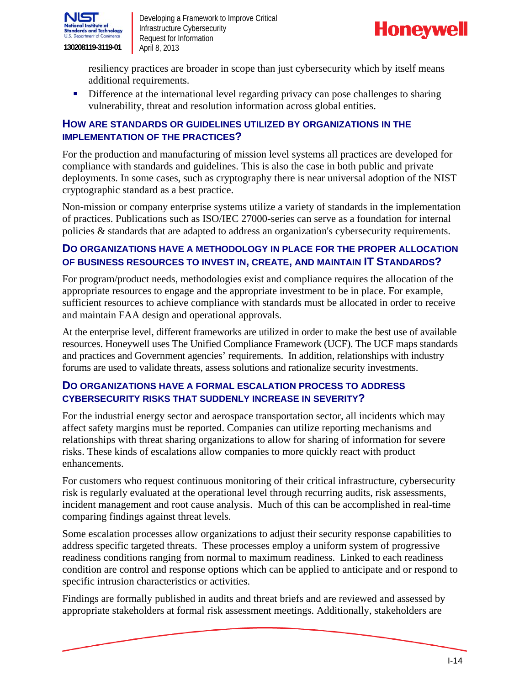![](_page_16_Picture_0.jpeg)

![](_page_16_Picture_2.jpeg)

resiliency practices are broader in scope than just cybersecurity which by itself means additional requirements.

Difference at the international level regarding privacy can pose challenges to sharing vulnerability, threat and resolution information across global entities.

#### **HOW ARE STANDARDS OR GUIDELINES UTILIZED BY ORGANIZATIONS IN THE IMPLEMENTATION OF THE PRACTICES?**

For the production and manufacturing of mission level systems all practices are developed for compliance with standards and guidelines. This is also the case in both public and private deployments. In some cases, such as cryptography there is near universal adoption of the NIST cryptographic standard as a best practice.

Non-mission or company enterprise systems utilize a variety of standards in the implementation of practices. Publications such as ISO/IEC 27000-series can serve as a foundation for internal policies & standards that are adapted to address an organization's cybersecurity requirements.

#### **DO ORGANIZATIONS HAVE A METHODOLOGY IN PLACE FOR THE PROPER ALLOCATION OF BUSINESS RESOURCES TO INVEST IN, CREATE, AND MAINTAIN IT STANDARDS?**

For program/product needs, methodologies exist and compliance requires the allocation of the appropriate resources to engage and the appropriate investment to be in place. For example, sufficient resources to achieve compliance with standards must be allocated in order to receive and maintain FAA design and operational approvals.

At the enterprise level, different frameworks are utilized in order to make the best use of available resources. Honeywell uses The Unified Compliance Framework (UCF). The UCF maps standards and practices and Government agencies' requirements. In addition, relationships with industry forums are used to validate threats, assess solutions and rationalize security investments.

#### **DO ORGANIZATIONS HAVE A FORMAL ESCALATION PROCESS TO ADDRESS CYBERSECURITY RISKS THAT SUDDENLY INCREASE IN SEVERITY?**

For the industrial energy sector and aerospace transportation sector, all incidents which may affect safety margins must be reported. Companies can utilize reporting mechanisms and relationships with threat sharing organizations to allow for sharing of information for severe risks. These kinds of escalations allow companies to more quickly react with product enhancements.

For customers who request continuous monitoring of their critical infrastructure, cybersecurity risk is regularly evaluated at the operational level through recurring audits, risk assessments, incident management and root cause analysis. Much of this can be accomplished in real-time comparing findings against threat levels.

Some escalation processes allow organizations to adjust their security response capabilities to address specific targeted threats. These processes employ a uniform system of progressive readiness conditions ranging from normal to maximum readiness. Linked to each readiness condition are control and response options which can be applied to anticipate and or respond to specific intrusion characteristics or activities.

Findings are formally published in audits and threat briefs and are reviewed and assessed by appropriate stakeholders at formal risk assessment meetings. Additionally, stakeholders are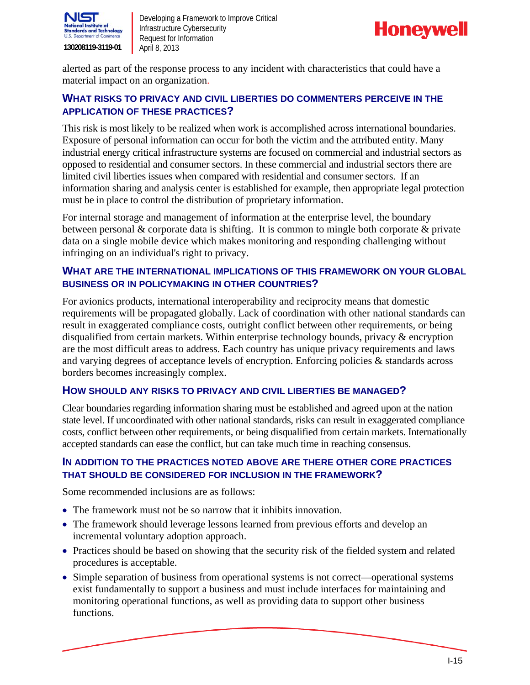![](_page_17_Picture_0.jpeg)

![](_page_17_Picture_2.jpeg)

alerted as part of the response process to any incident with characteristics that could have a material impact on an organization.

#### **WHAT RISKS TO PRIVACY AND CIVIL LIBERTIES DO COMMENTERS PERCEIVE IN THE APPLICATION OF THESE PRACTICES?**

This risk is most likely to be realized when work is accomplished across international boundaries. Exposure of personal information can occur for both the victim and the attributed entity. Many industrial energy critical infrastructure systems are focused on commercial and industrial sectors as opposed to residential and consumer sectors. In these commercial and industrial sectors there are limited civil liberties issues when compared with residential and consumer sectors. If an information sharing and analysis center is established for example, then appropriate legal protection must be in place to control the distribution of proprietary information.

For internal storage and management of information at the enterprise level, the boundary between personal & corporate data is shifting. It is common to mingle both corporate & private data on a single mobile device which makes monitoring and responding challenging without infringing on an individual's right to privacy.

#### **WHAT ARE THE INTERNATIONAL IMPLICATIONS OF THIS FRAMEWORK ON YOUR GLOBAL BUSINESS OR IN POLICYMAKING IN OTHER COUNTRIES?**

For avionics products, international interoperability and reciprocity means that domestic requirements will be propagated globally. Lack of coordination with other national standards can result in exaggerated compliance costs, outright conflict between other requirements, or being disqualified from certain markets. Within enterprise technology bounds, privacy & encryption are the most difficult areas to address. Each country has unique privacy requirements and laws and varying degrees of acceptance levels of encryption. Enforcing policies & standards across borders becomes increasingly complex.

#### **HOW SHOULD ANY RISKS TO PRIVACY AND CIVIL LIBERTIES BE MANAGED?**

Clear boundaries regarding information sharing must be established and agreed upon at the nation state level. If uncoordinated with other national standards, risks can result in exaggerated compliance costs, conflict between other requirements, or being disqualified from certain markets. Internationally accepted standards can ease the conflict, but can take much time in reaching consensus.

#### **IN ADDITION TO THE PRACTICES NOTED ABOVE ARE THERE OTHER CORE PRACTICES THAT SHOULD BE CONSIDERED FOR INCLUSION IN THE FRAMEWORK?**

Some recommended inclusions are as follows:

- The framework must not be so narrow that it inhibits innovation.
- The framework should leverage lessons learned from previous efforts and develop an incremental voluntary adoption approach.
- procedures is acceptable. • Practices should be based on showing that the security risk of the fielded system and related
- Simple separation of business from operational systems is not correct—operational systems exist fundamentally to support a business and must include interfaces for maintaining and monitoring operational functions, as well as providing data to support other business functions.